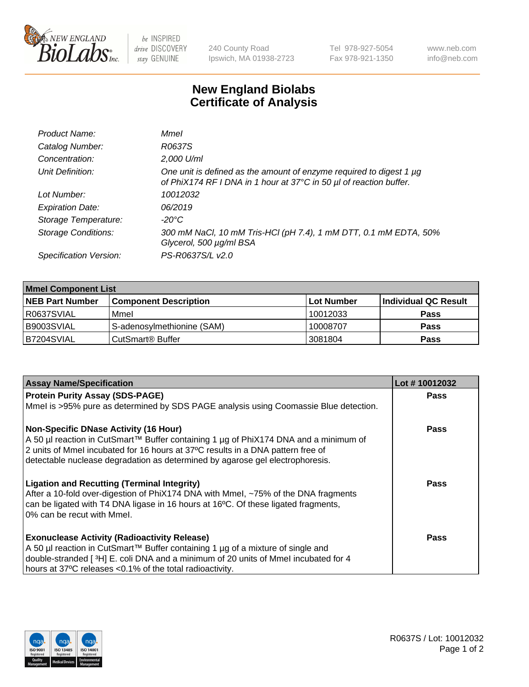

be INSPIRED drive DISCOVERY stay GENUINE

240 County Road Ipswich, MA 01938-2723 Tel 978-927-5054 Fax 978-921-1350 www.neb.com info@neb.com

## **New England Biolabs Certificate of Analysis**

| Product Name:              | Mmel                                                                                                                                      |
|----------------------------|-------------------------------------------------------------------------------------------------------------------------------------------|
| Catalog Number:            | R0637S                                                                                                                                    |
| Concentration:             | 2,000 U/ml                                                                                                                                |
| Unit Definition:           | One unit is defined as the amount of enzyme required to digest 1 µg<br>of PhiX174 RF I DNA in 1 hour at 37°C in 50 µl of reaction buffer. |
| Lot Number:                | 10012032                                                                                                                                  |
| <b>Expiration Date:</b>    | 06/2019                                                                                                                                   |
| Storage Temperature:       | -20°C                                                                                                                                     |
| <b>Storage Conditions:</b> | 300 mM NaCl, 10 mM Tris-HCl (pH 7.4), 1 mM DTT, 0.1 mM EDTA, 50%<br>Glycerol, 500 µg/ml BSA                                               |
| Specification Version:     | PS-R0637S/L v2.0                                                                                                                          |
|                            |                                                                                                                                           |

| <b>Mmel Component List</b> |                              |            |                      |  |
|----------------------------|------------------------------|------------|----------------------|--|
| <b>NEB Part Number</b>     | <b>Component Description</b> | Lot Number | Individual QC Result |  |
| R0637SVIAL                 | Mmel                         | 10012033   | <b>Pass</b>          |  |
| B9003SVIAL                 | S-adenosylmethionine (SAM)   | 10008707   | <b>Pass</b>          |  |
| B7204SVIAL                 | CutSmart <sup>®</sup> Buffer | 3081804    | <b>Pass</b>          |  |

| <b>Assay Name/Specification</b>                                                                                                                                                                                                                                                                          | Lot #10012032 |
|----------------------------------------------------------------------------------------------------------------------------------------------------------------------------------------------------------------------------------------------------------------------------------------------------------|---------------|
| <b>Protein Purity Assay (SDS-PAGE)</b>                                                                                                                                                                                                                                                                   | <b>Pass</b>   |
| Mmel is >95% pure as determined by SDS PAGE analysis using Coomassie Blue detection.                                                                                                                                                                                                                     |               |
| <b>Non-Specific DNase Activity (16 Hour)</b><br>A 50 µl reaction in CutSmart™ Buffer containing 1 µg of PhiX174 DNA and a minimum of<br>2 units of Mmel incubated for 16 hours at 37°C results in a DNA pattern free of<br>detectable nuclease degradation as determined by agarose gel electrophoresis. | Pass          |
| <b>Ligation and Recutting (Terminal Integrity)</b><br>After a 10-fold over-digestion of PhiX174 DNA with Mmel, ~75% of the DNA fragments<br>can be ligated with T4 DNA ligase in 16 hours at 16°C. Of these ligated fragments,<br>0% can be recut with Mmel.                                             | Pass          |
| <b>Exonuclease Activity (Radioactivity Release)</b><br>A 50 µl reaction in CutSmart™ Buffer containing 1 µg of a mixture of single and<br>double-stranded [3H] E. coli DNA and a minimum of 20 units of Mmel incubated for 4<br>hours at 37°C releases <0.1% of the total radioactivity.                 | Pass          |